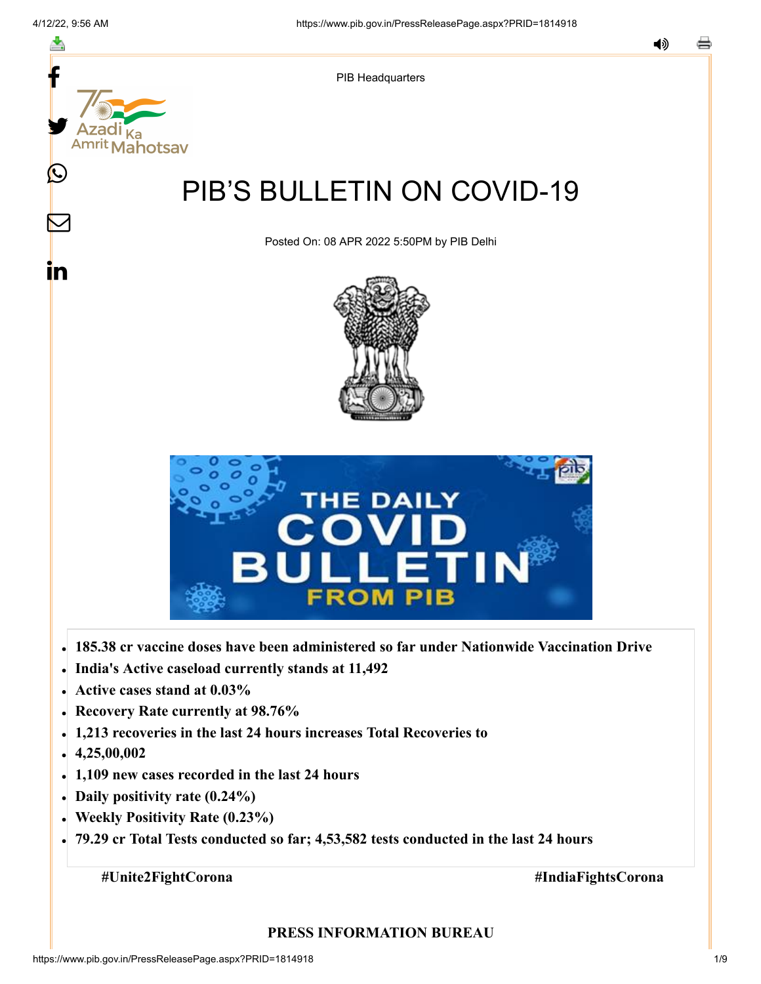f

≛

(L

<u>in</u>



Posted On: 08 APR 2022 5:50PM by PIB Delhi

PIB Headquarters





- **185.38 cr vaccine doses have been administered so far under Nationwide Vaccination Drive**
- **India's Active caseload currently stands at 11,492**
- **Active cases stand at 0.03%**
- **Recovery Rate currently at 98.76%**
- **1,213 recoveries in the last 24 hours increases Total Recoveries to**
- **4,25,00,002**
- **1,109 new cases recorded in the last 24 hours**
- **Daily positivity rate (0.24%)**
- **Weekly Positivity Rate (0.23%)**
- **79.29 cr Total Tests conducted so far; 4,53,582 tests conducted in the last 24 hours**

**#Unite2FightCorona #IndiaFightsCorona**

#### **PRESS INFORMATION BUREAU**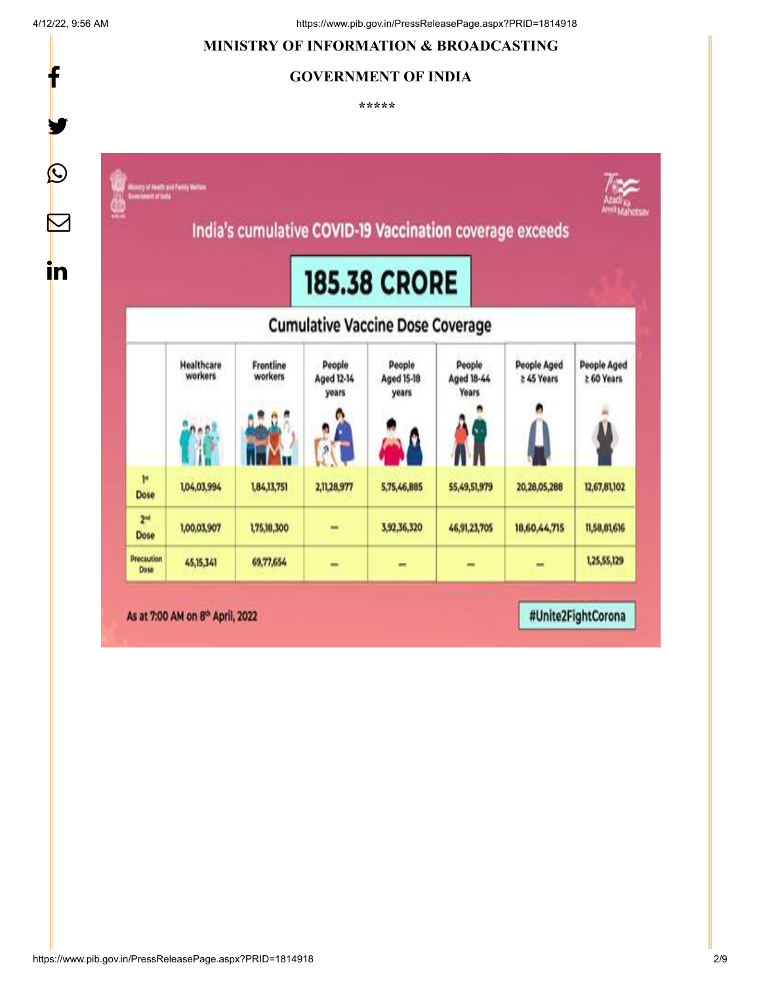f

# **MINISTRY OF INFORMATION & BROADCASTING**

# **GOVERNMENT OF INDIA**

**\*\*\*\*\*** 



https://www.pib.gov.in/PressReleasePage.aspx?PRID=1814918 2/9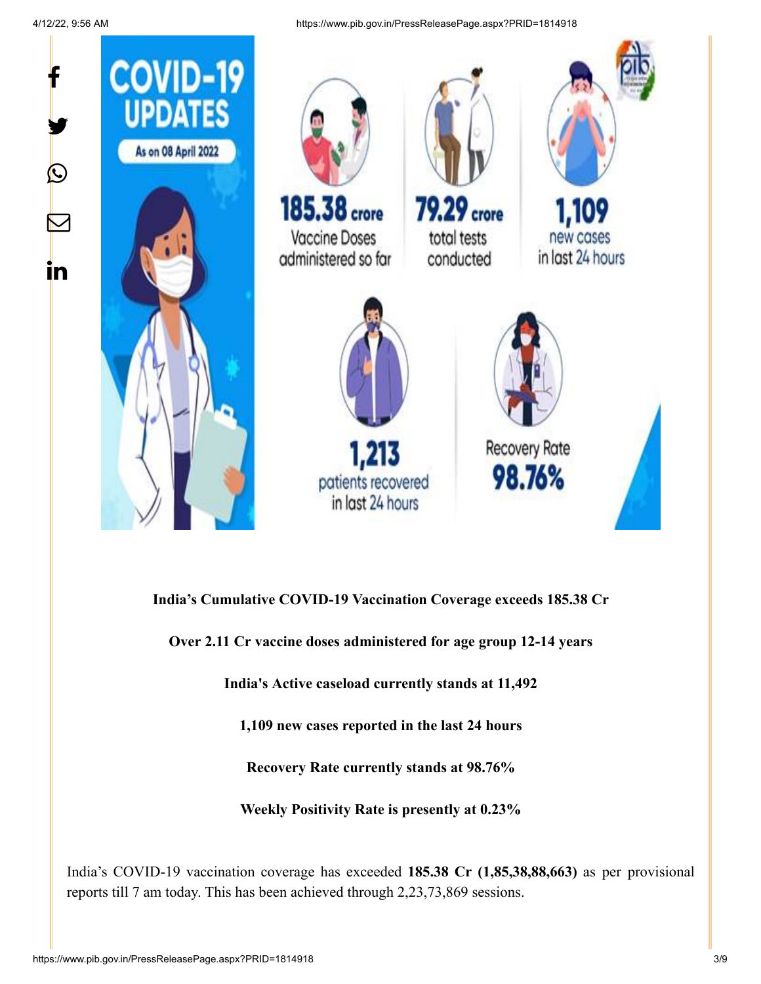

**India's Cumulative COVID-19 Vaccination Coverage exceeds 185.38 Cr**

**Over 2.11 Cr vaccine doses administered for age group 12-14 years**

**India's Active caseload currently stands at 11,492**

**1,109 new cases reported in the last 24 hours**

**Recovery Rate currently stands at 98.76%**

**Weekly Positivity Rate is presently at 0.23%**

India's COVID-19 vaccination coverage has exceeded **185.38 Cr (1,85,38,88,663)** as per provisional reports till 7 am today. This has been achieved through 2,23,73,869 sessions.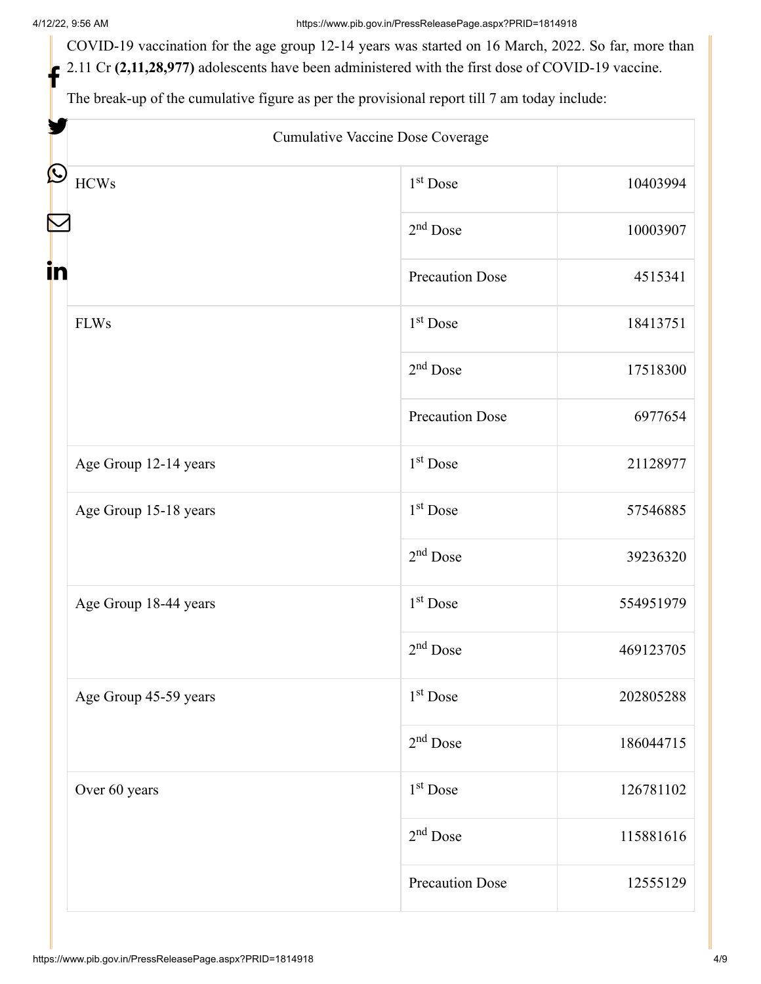COVID-19 vaccination for the age group 12-14 years was started on 16 March, 2022. So far, more than 2.11 Cr (2,11,28,977) adolescents have been administered with the first dose of COVID-19 vaccine.

The break-up of the cumulative figure as per the provisional report till 7 am today include:

| Cumulative Vaccine Dose Coverage       |                        |           |
|----------------------------------------|------------------------|-----------|
| HCWs                                   | 1 <sup>st</sup> Dose   | 10403994  |
|                                        | $2nd$ Dose             | 10003907  |
| in                                     | <b>Precaution Dose</b> | 4515341   |
| <b>FLWs</b>                            | $1st$ Dose             | 18413751  |
|                                        | $2nd$ Dose             | 17518300  |
|                                        | <b>Precaution Dose</b> | 6977654   |
| Age Group 12-14 years                  | $1st$ Dose             | 21128977  |
| Age Group 15-18 years                  | 1 <sup>st</sup> Dose   | 57546885  |
|                                        | $2nd$ Dose             | 39236320  |
| Age Group 18-44 years                  | 1 <sup>st</sup> Dose   | 554951979 |
|                                        | $2nd$ Dose             | 469123705 |
| Age Group 45-59 years<br>Over 60 years | 1 <sup>st</sup> Dose   | 202805288 |
|                                        | $2nd$ Dose             | 186044715 |
|                                        | 1 <sup>st</sup> Dose   | 126781102 |
|                                        | $2nd$ Dose             | 115881616 |
|                                        | <b>Precaution Dose</b> | 12555129  |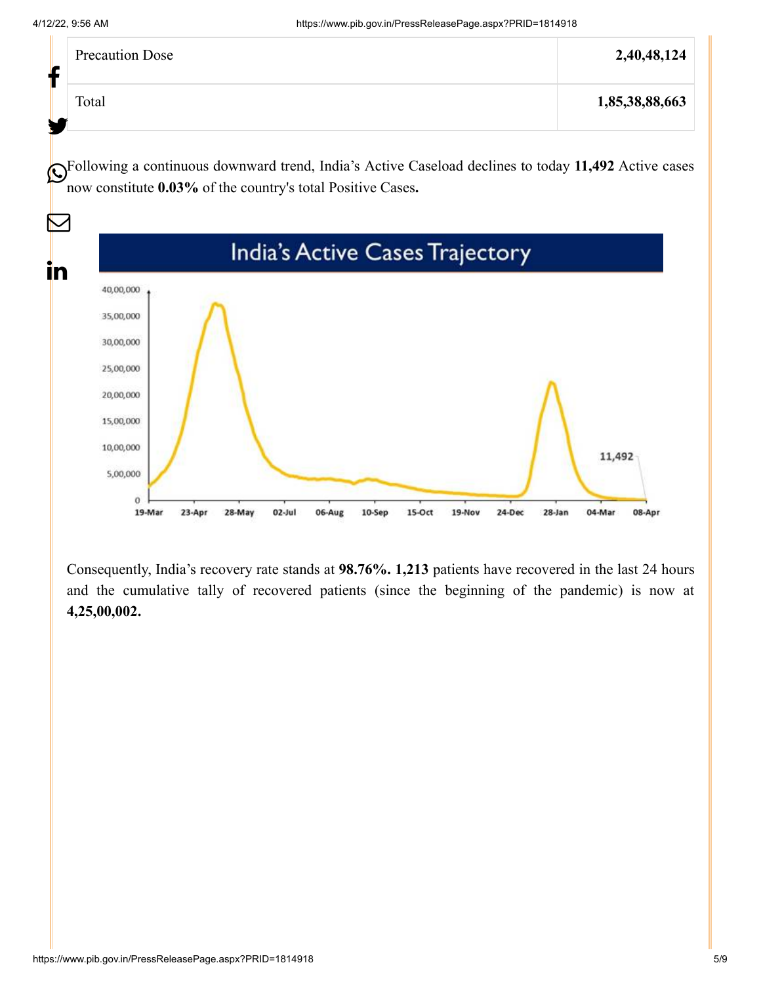|    | <b>Precaution Dose</b> | 2,40,48,124    |
|----|------------------------|----------------|
| Le | Total                  | 1,85,38,88,663 |

Following a continuous downward trend, India's Active Caseload declines to today **11,492** Active cases now constitute **0.03%** of the country's total Positive Cases**.**



Consequently, India's recovery rate stands at **98.76%. 1,213** patients have recovered in the last 24 hours and the cumulative tally of recovered patients (since the beginning of the pandemic) is now at **4,25,00,002.**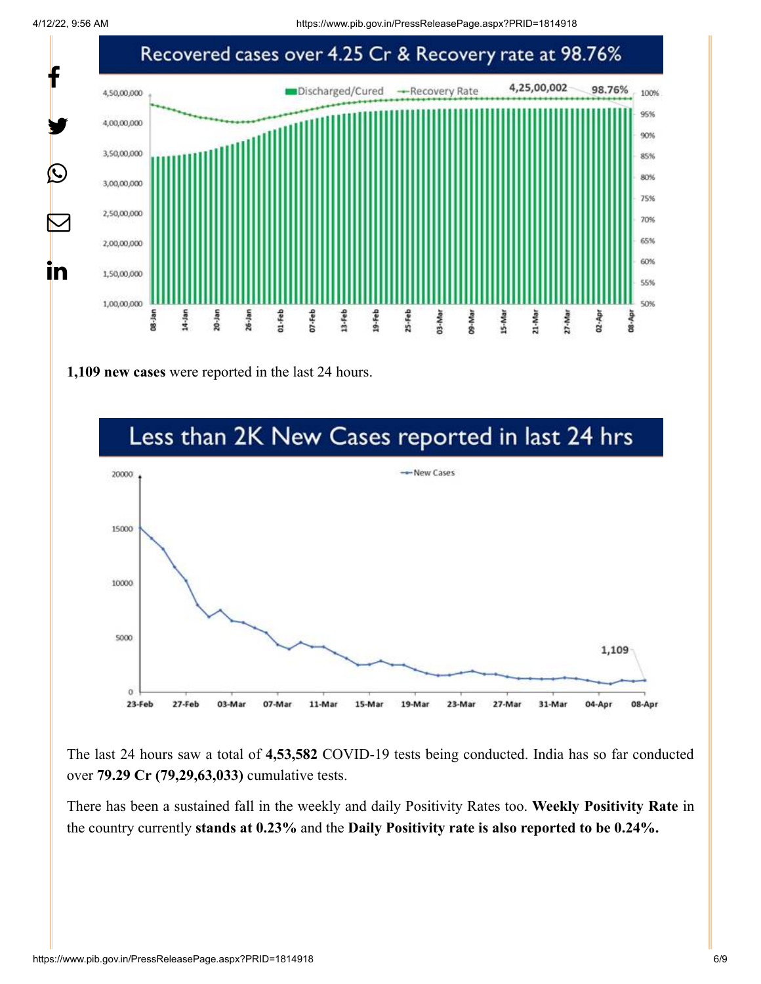

**1,109 new cases** were reported in the last 24 hours.



The last 24 hours saw a total of **4,53,582** COVID-19 tests being conducted. India has so far conducted over **79.29 Cr (79,29,63,033)** cumulative tests.

There has been a sustained fall in the weekly and daily Positivity Rates too. **Weekly Positivity Rate** in the country currently **stands at 0.23%** and the **Daily Positivity rate is also reported to be 0.24%.**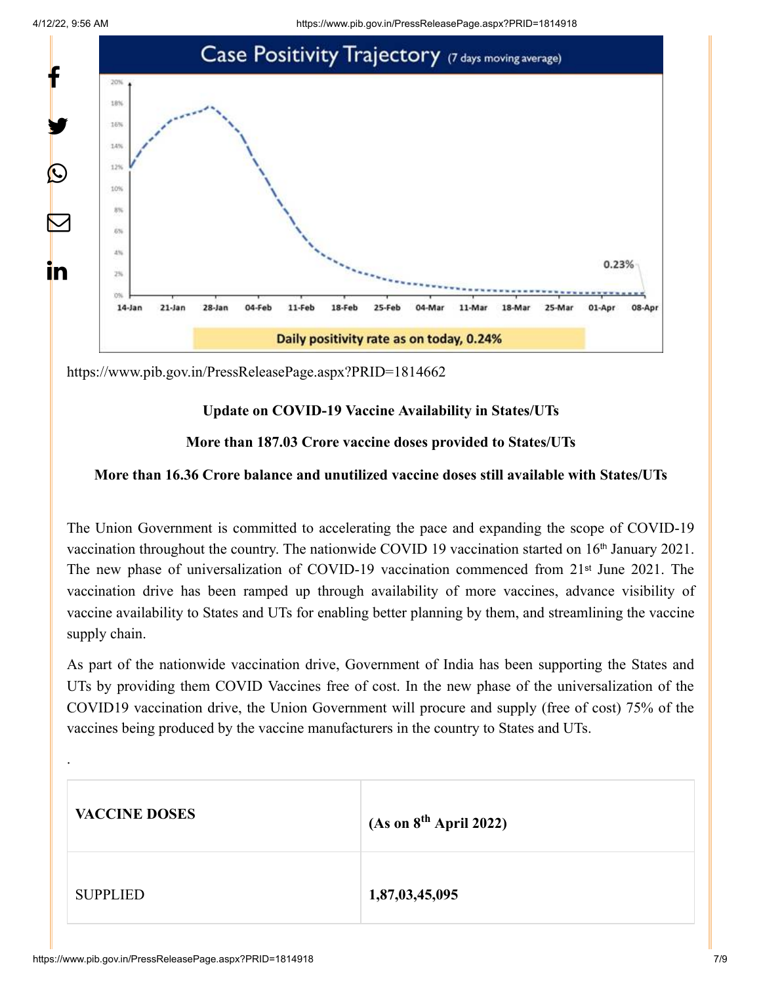

<https://www.pib.gov.in/PressReleasePage.aspx?PRID=1814662>

## **Update on COVID-19 Vaccine Availability in States/UTs**

#### **More than 187.03 Crore vaccine doses provided to States/UTs**

#### **More than 16.36 Crore balance and unutilized vaccine doses still available with States/UTs**

The Union Government is committed to accelerating the pace and expanding the scope of COVID-19 vaccination throughout the country. The nationwide COVID 19 vaccination started on 16<sup>th</sup> January 2021. The new phase of universalization of COVID-19 vaccination commenced from 21<sup>st</sup> June 2021. The vaccination drive has been ramped up through availability of more vaccines, advance visibility of vaccine availability to States and UTs for enabling better planning by them, and streamlining the vaccine supply chain.

As part of the nationwide vaccination drive, Government of India has been supporting the States and UTs by providing them COVID Vaccines free of cost. In the new phase of the universalization of the COVID19 vaccination drive, the Union Government will procure and supply (free of cost) 75% of the vaccines being produced by the vaccine manufacturers in the country to States and UTs.

| <b>VACCINE DOSES</b> | (As on 8 <sup>th</sup> April 2022) |
|----------------------|------------------------------------|
| <b>SUPPLIED</b>      | 1,87,03,45,095                     |

.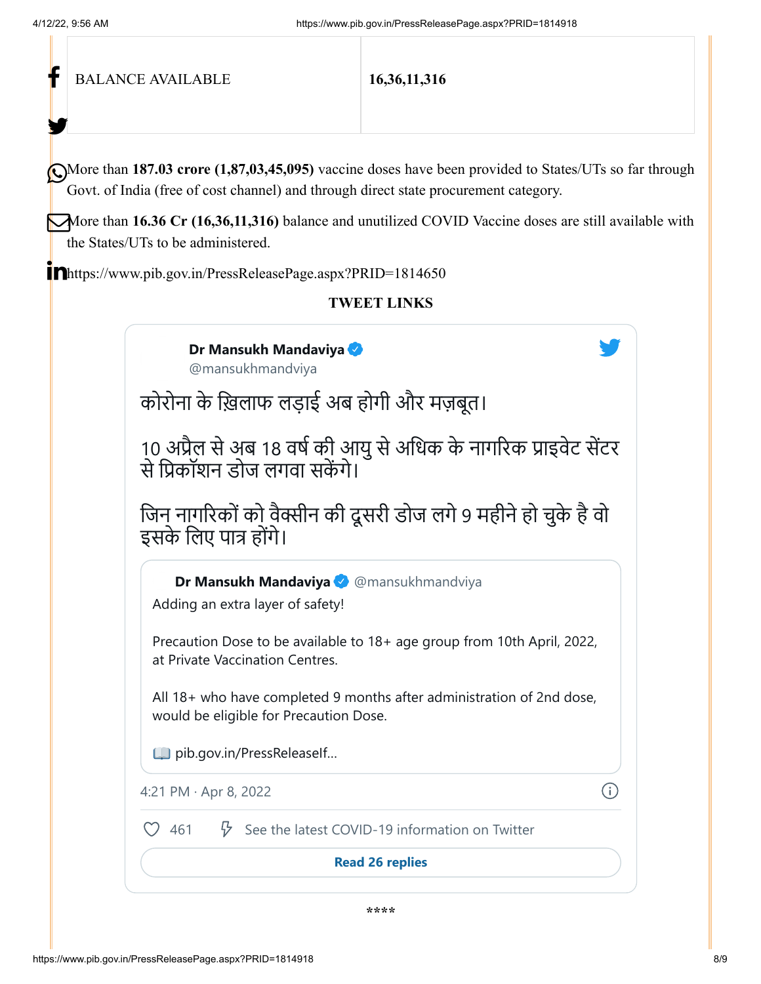| <b>BALANCE AVAILABLE</b>                                                                                                                                                                                                                                                                                                                     | 16, 36, 11, 316                                                                                                 |  |  |  |  |
|----------------------------------------------------------------------------------------------------------------------------------------------------------------------------------------------------------------------------------------------------------------------------------------------------------------------------------------------|-----------------------------------------------------------------------------------------------------------------|--|--|--|--|
| More than 187.03 crore (1,87,03,45,095) vaccine doses have been provided to States/UTs so far through<br>Govt. of India (free of cost channel) and through direct state procurement category.<br>More than 16.36 Cr (16,36,11,316) balance and unutilized COVID Vaccine doses are still available with<br>the States/UTs to be administered. |                                                                                                                 |  |  |  |  |
| Inhttps://www.pib.gov.in/PressReleasePage.aspx?PRID=1814650                                                                                                                                                                                                                                                                                  | <b>TWEET LINKS</b>                                                                                              |  |  |  |  |
| Dr Mansukh Mandaviya<br>@mansukhmandviya                                                                                                                                                                                                                                                                                                     |                                                                                                                 |  |  |  |  |
|                                                                                                                                                                                                                                                                                                                                              | कोरोना के ख़िलाफ लड़ाई अब होगी और मज़बूत।                                                                       |  |  |  |  |
| से प्रिकॉशन डोज लगवा सकेंगे।                                                                                                                                                                                                                                                                                                                 | 10 अप्रैल से अब 18 वर्ष की आयु से अधिक के नागरिक प्राइवेट सेंटर                                                 |  |  |  |  |
| जिन नागरिकों को वैक्सीन की दूसरी डोज लगे 9 महीने हो चुके है वो<br>इसके लिए पात्र होंगे।                                                                                                                                                                                                                                                      |                                                                                                                 |  |  |  |  |
| Adding an extra layer of safety!                                                                                                                                                                                                                                                                                                             | Dr Mansukh Mandaviya & @mansukhmandviya                                                                         |  |  |  |  |
| at Private Vaccination Centres.                                                                                                                                                                                                                                                                                                              | Precaution Dose to be available to 18+ age group from 10th April, 2022,                                         |  |  |  |  |
|                                                                                                                                                                                                                                                                                                                                              | All 18+ who have completed 9 months after administration of 2nd dose,<br>would be eligible for Precaution Dose. |  |  |  |  |
| Dib.gov.in/PressReleaself                                                                                                                                                                                                                                                                                                                    |                                                                                                                 |  |  |  |  |
| 4:21 PM $\cdot$ Apr 8, 2022                                                                                                                                                                                                                                                                                                                  |                                                                                                                 |  |  |  |  |
| 461<br>₩                                                                                                                                                                                                                                                                                                                                     | See the latest COVID-19 information on Twitter                                                                  |  |  |  |  |
|                                                                                                                                                                                                                                                                                                                                              | <b>Read 26 replies</b>                                                                                          |  |  |  |  |
|                                                                                                                                                                                                                                                                                                                                              | ****                                                                                                            |  |  |  |  |